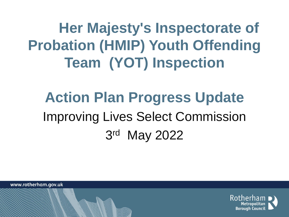**Her Majesty's Inspectorate of Probation (HMIP) Youth Offending Team (YOT) Inspection**

### **Action Plan Progress Update** Improving Lives Select Commission 3 rd May 2022



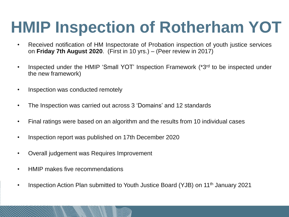# **HMIP Inspection of Rotherham YOT**

- Received notification of HM Inspectorate of Probation inspection of youth justice services on **Friday 7th August 2020**. (First in 10 yrs.) – (Peer review in 2017)
- Inspected under the HMIP 'Small YOT' Inspection Framework (\*3<sup>rd</sup> to be inspected under the new framework)
- Inspection was conducted remotely
- The Inspection was carried out across 3 'Domains' and 12 standards
- Final ratings were based on an algorithm and the results from 10 individual cases
- Inspection report was published on 17th December 2020
- Overall judgement was Requires Improvement
- HMIP makes five recommendations
- Inspection Action Plan submitted to Youth Justice Board (YJB) on 11<sup>th</sup> January 2021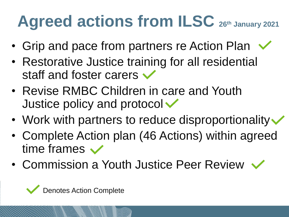# **Agreed actions from ILSC 26th January 2021**

- Grip and pace from partners re Action Plan  $\vee$
- Restorative Justice training for all residential staff and foster carers  $\checkmark$
- Revise RMBC Children in care and Youth Justice policy and protocol  $\checkmark$
- Work with partners to reduce disproportionality  $\checkmark$
- Complete Action plan (46 Actions) within agreed time frames  $\checkmark$
- Commission a Youth Justice Peer Review  $\checkmark$

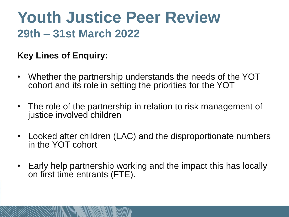### **Youth Justice Peer Review 29th – 31st March 2022**

#### **Key Lines of Enquiry:**

- Whether the partnership understands the needs of the YOT cohort and its role in setting the priorities for the YOT
- The role of the partnership in relation to risk management of justice involved children
- Looked after children (LAC) and the disproportionate numbers in the YOT cohort
- Early help partnership working and the impact this has locally on first time entrants (FTE).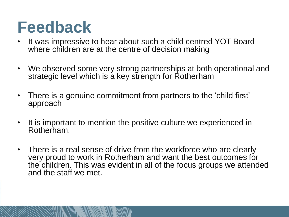### **Feedback**

- It was impressive to hear about such a child centred YOT Board where children are at the centre of decision making
- We observed some very strong partnerships at both operational and strategic level which is a key strength for Rotherham
- There is a genuine commitment from partners to the 'child first' approach
- It is important to mention the positive culture we experienced in Rotherham.
- There is a real sense of drive from the workforce who are clearly very proud to work in Rotherham and want the best outcomes for the children. This was evident in all of the focus groups we attended and the staff we met.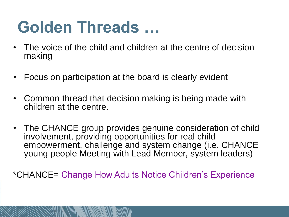### **Golden Threads …**

- The voice of the child and children at the centre of decision making
- Focus on participation at the board is clearly evident
- Common thread that decision making is being made with children at the centre.
- The CHANCE group provides genuine consideration of child involvement, providing opportunities for real child empowerment, challenge and system change (i.e. CHANCE young people Meeting with Lead Member, system leaders)

\*CHANCE= Change How Adults Notice Children's Experience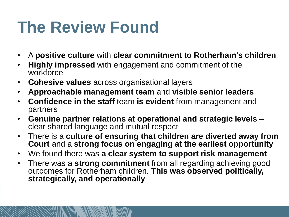### **The Review Found**

- A **positive culture** with **clear commitment to Rotherham's children**
- **Highly impressed** with engagement and commitment of the workforce
- **Cohesive values** across organisational layers
- **Approachable management team** and **visible senior leaders**
- **Confidence in the staff** team **is evident** from management and partners
- **Genuine partner relations at operational and strategic levels**  clear shared language and mutual respect
- There is a **culture of ensuring that children are diverted away from Court** and a **strong focus on engaging at the earliest opportunity**
- We found there was **a clear system to support risk management**
- There was a **strong commitment** from all regarding achieving good outcomes for Rotherham children. **This was observed politically, strategically, and operationally**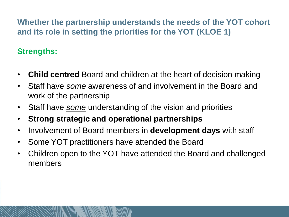**Whether the partnership understands the needs of the YOT cohort and its role in setting the priorities for the YOT (KLOE 1)**

#### **Strengths:**

- **Child centred** Board and children at the heart of decision making
- Staff have *some* awareness of and involvement in the Board and work of the partnership
- Staff have *some* understanding of the vision and priorities
- **Strong strategic and operational partnerships**
- Involvement of Board members in **development days** with staff
- Some YOT practitioners have attended the Board
- Children open to the YOT have attended the Board and challenged members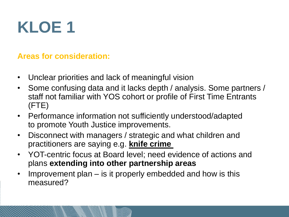# **KLOE 1**

#### **Areas for consideration:**

- Unclear priorities and lack of meaningful vision
- Some confusing data and it lacks depth / analysis. Some partners / staff not familiar with YOS cohort or profile of First Time Entrants (FTE)
- Performance information not sufficiently understood/adapted to promote Youth Justice improvements.
- Disconnect with managers / strategic and what children and practitioners are saying e.g. **knife crime**
- YOT-centric focus at Board level; need evidence of actions and plans **extending into other partnership areas**
- Improvement plan is it properly embedded and how is this measured?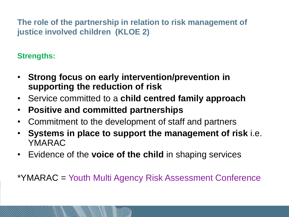**The role of the partnership in relation to risk management of justice involved children (KLOE 2)**

**Strengths:**

- **Strong focus on early intervention/prevention in supporting the reduction of risk**
- Service committed to a **child centred family approach**
- **Positive and committed partnerships**
- Commitment to the development of staff and partners
- **Systems in place to support the management of risk** i.e. YMARAC
- Evidence of the **voice of the child** in shaping services

\*YMARAC = Youth Multi Agency Risk Assessment Conference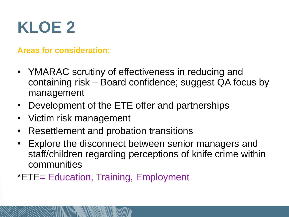# **KLOE 2**

#### **Areas for consideration**:

- YMARAC scrutiny of effectiveness in reducing and containing risk – Board confidence; suggest QA focus by management
- Development of the ETE offer and partnerships
- Victim risk management
- Resettlement and probation transitions
- Explore the disconnect between senior managers and staff/children regarding perceptions of knife crime within communities
- \*ETE= Education, Training, Employment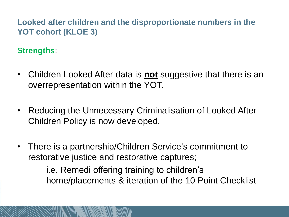**Looked after children and the disproportionate numbers in the YOT cohort (KLOE 3)**

**Strengths**:

- Children Looked After data is **not** suggestive that there is an overrepresentation within the YOT.
- Reducing the Unnecessary Criminalisation of Looked After Children Policy is now developed.
- There is a partnership/Children Service's commitment to restorative justice and restorative captures;

i.e. Remedi offering training to children's home/placements & iteration of the 10 Point Checklist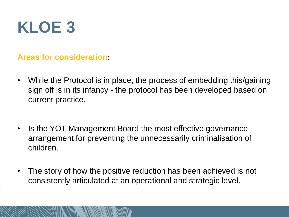

#### **Areas for consideration:**

- While the Protocol is in place, the process of embedding this/gaining sign off is in its infancy - the protocol has been developed based on current practice.
- Is the YOT Management Board the most effective governance arrangement for preventing the unnecessarily criminalisation of children.
- The story of how the positive reduction has been achieved is not consistently articulated at an operational and strategic level.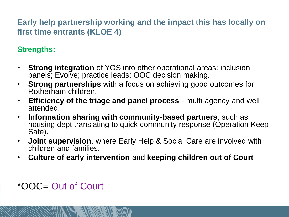#### **Early help partnership working and the impact this has locally on first time entrants (KLOE 4)**

#### **Strengths:**

- **Strong integration** of YOS into other operational areas: inclusion panels; Evolve; practice leads; OOC decision making.
- **Strong partnerships** with a focus on achieving good outcomes for Rotherham children.
- **Efficiency of the triage and panel process** multi-agency and well attended.
- **Information sharing with community-based partners**, such as housing dept translating to quick community response (Operation Keep Safe).
- **Joint supervision**, where Early Help & Social Care are involved with children and families.
- **Culture of early intervention** and **keeping children out of Court**

#### \*OOC= Out of Court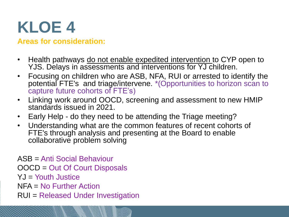### **KLOE 4**

#### **Areas for consideration:**

- Health pathways do not enable expedited intervention to CYP open to YJS. Delays in assessments and interventions for YJ children.
- Focusing on children who are ASB, NFA, RUI or arrested to identify the potential FTE's and triage/intervene. \*(Opportunities to horizon scan to capture future cohorts of FTE's)
- Linking work around OOCD, screening and assessment to new HMIP standards issued in 2021.
- Early Help do they need to be attending the Triage meeting?
- Understanding what are the common features of recent cohorts of FTE's through analysis and presenting at the Board to enable collaborative problem solving

ASB = Anti Social Behaviour OOCD = Out Of Court Disposals  $YJ =$  Youth Justice NFA = No Further Action RUI = Released Under Investigation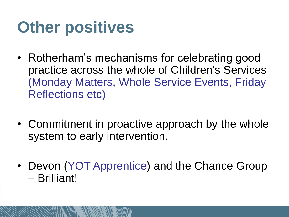# **Other positives**

- Rotherham's mechanisms for celebrating good practice across the whole of Children's Services (Monday Matters, Whole Service Events, Friday Reflections etc)
- Commitment in proactive approach by the whole system to early intervention.
- Devon (YOT Apprentice) and the Chance Group – Brilliant!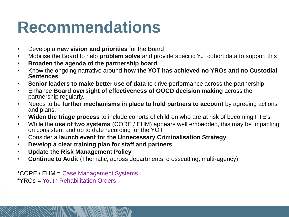### **Recommendations**

- Develop a **new vision and priorities** for the Board
- Mobilise the Board to help **problem solve** and provide specific YJ cohort data to support this
- **Broaden the agenda of the partnership board**
- Know the ongoing narrative around **how the YOT has achieved no YROs and no Custodial Sentences**
- **Senior leaders to make better use of data** to drive performance across the partnership
- Enhance **Board oversight of effectiveness of OOCD decision making** across the partnership regularly.
- Needs to be **further mechanisms in place to hold partners to account** by agreeing actions and plans.
- **Widen the triage process** to include cohorts of children who are at risk of becoming FTE's
- While the **use of two systems** (CORE / EHM) appears well embedded, this may be impacting on consistent and up to date recording for the YOT
- Consider a **launch event for the Unnecessary Criminalisation Strategy**
- **Develop a clear training plan for staff and partners**
- **Update the Risk Management Policy**
- **Continue to Audit** (Thematic, across departments, crosscutting, multi-agency)

\*CORE / EHM = Case Management Systems \*YROs = Youth Rehabilitation Orders